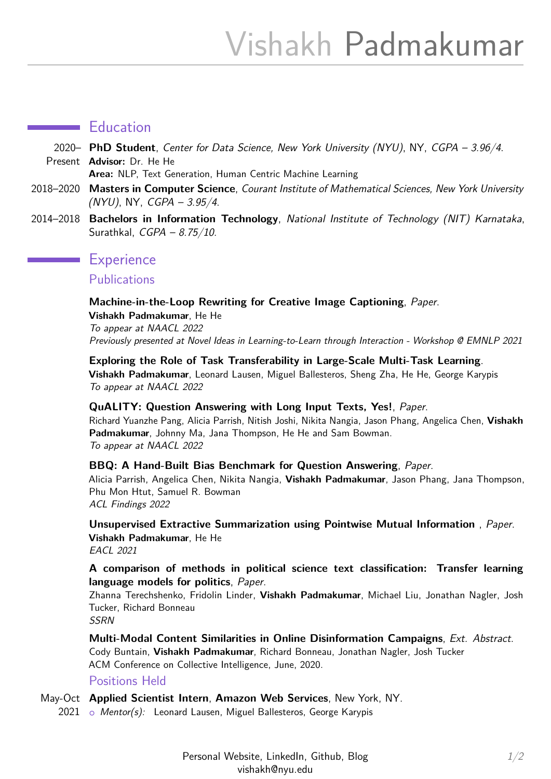## **Education**

2020– **PhD Student**, Center for Data Science, New York University (NYU), NY, CGPA – 3.96/4. Present **Advisor:** Dr. He He

**Area:** NLP, Text Generation, Human Centric Machine Learning

- 2018–2020 **Masters in Computer Science**, Courant Institute of Mathematical Sciences, New York University (NYU), NY, CGPA – 3.95/4.
- 2014–2018 **Bachelors in Information Technology**, National Institute of Technology (NIT) Karnataka, Surathkal, CGPA – 8.75/10.

## **Experience**

**Publications** 

## **Machine-in-the-Loop Rewriting for Creative Image Captioning**, [Paper](https://arxiv.org/abs/2111.04193).

**Vishakh Padmakumar**, He He To appear at NAACL 2022 Previously presented at Novel Ideas in Learning-to-Learn through Interaction - Workshop @ EMNLP 2021

**Exploring the Role of Task Transferability in Large-Scale Multi-Task Learning**. **Vishakh Padmakumar**, Leonard Lausen, Miguel Ballesteros, Sheng Zha, He He, George Karypis To appear at NAACL 2022

#### **QuALITY: Question Answering with Long Input Texts, Yes!**, [Paper](https://arxiv.org/pdf/2112.08608.pdf).

Richard Yuanzhe Pang, Alicia Parrish, Nitish Joshi, Nikita Nangia, Jason Phang, Angelica Chen, **Vishakh Padmakumar**, Johnny Ma, Jana Thompson, He He and Sam Bowman. To appear at NAACL 2022

#### **BBQ: A Hand-Built Bias Benchmark for Question Answering**, [Paper](https://arxiv.org/abs/2110.08193).

Alicia Parrish, Angelica Chen, Nikita Nangia, **Vishakh Padmakumar**, Jason Phang, Jana Thompson, Phu Mon Htut, Samuel R. Bowman ACL Findings 2022

**Unsupervised Extractive Summarization using Pointwise Mutual Information** , [Paper](https://arxiv.org/abs/2102.06272). **Vishakh Padmakumar**, He He EACL 2021

## **A comparison of methods in political science text classification: Transfer learning language models for politics**, [Paper](https://papers.ssrn.com/sol3/papers.cfm?abstract_id=3724644).

Zhanna Terechshenko, Fridolin Linder, **Vishakh Padmakumar**, Michael Liu, Jonathan Nagler, Josh Tucker, Richard Bonneau **SSRN** 

**Multi-Modal Content Similarities in Online Disinformation Campaigns**, [Ext. Abstract](http://brandlane.dk/ci/2020/wa_files/68%20artificial%20dissimilarity.%20multi-modal%20content%20similarities%20in%20online%20campaigns.pdf). Cody Buntain, **Vishakh Padmakumar**, Richard Bonneau, Jonathan Nagler, Josh Tucker ACM Conference on Collective Intelligence, June, 2020.

#### Positions Held

May-Oct **Applied Scientist Intern**, **Amazon Web Services**, New York, NY.

2021 o Mentor(s): Leonard Lausen, Miguel Ballesteros, George Karypis